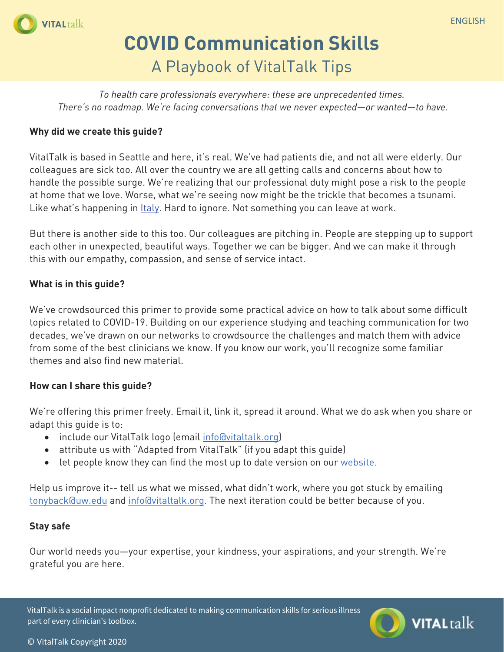

## **COVID Communication Skills** A Playbook of VitalTalk Tips

*To health care professionals everywhere: these are unprecedented times. There's no roadmap. We're facing conversations that we never expected—or wanted—to have.* 

#### **Why did we create this guide?**

VitalTalk is based in Seattle and here, it's real. We've had patients die, and not all were elderly. Our colleagues are sick too. All over the country we are all getting calls and concerns about how to handle the possible surge. We're realizing that our professional duty might pose a risk to the people at home that we love. Worse, what we're seeing now might be the trickle that becomes a tsunami. Like what's happening in Italy. Hard to ignore. Not something you can leave at work.

But there is another side to this too. Our colleagues are pitching in. People are stepping up to support each other in unexpected, beautiful ways. Together we can be bigger. And we can make it through this with our empathy, compassion, and sense of service intact.

#### **What is in this guide?**

We've crowdsourced this primer to provide some practical advice on how to talk about some difficult topics related to COVID-19. Building on our experience studying and teaching communication for two decades, we've drawn on our networks to crowdsource the challenges and match them with advice from some of the best clinicians we know. If you know our work, you'll recognize some familiar themes and also find new material.

## **How can I share this guide?**

We're offering this primer freely. Email it, link it, spread it around. What we do ask when you share or adapt this guide is to:

- include our VitalTalk logo (email info@vitaltalk.org)
- attribute us with "Adapted from VitalTalk" (if you adapt this guide)
- let people know they can find the most up to date version on our website.

Help us improve it-- tell us what we missed, what didn't work, where you got stuck by emailing tonyback@uw.edu and info@vitaltalk.org. The next iteration could be better because of you.

#### **Stay safe**

Our world needs you—your expertise, your kindness, your aspirations, and your strength. We're grateful you are here.

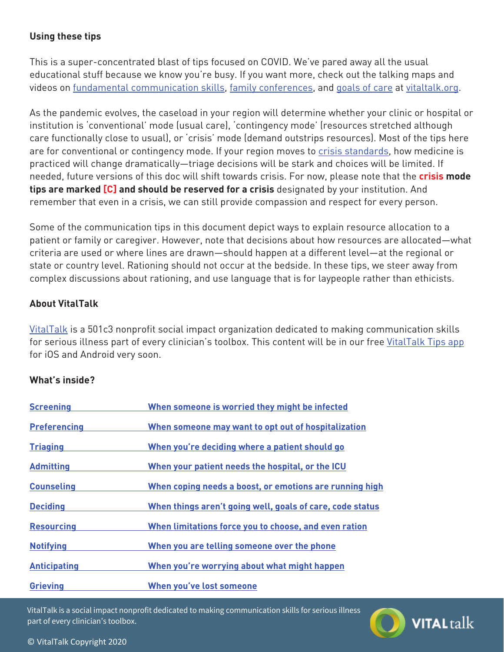## **Using these tips**

This is a super-concentrated blast of tips focused on COVID. We've pared away all the usual educational stuff because we know you're busy. If you want more, check out the talking maps and videos on fundamental communication skills, family conferences, and goals of care at vitaltalk.org.

As the pandemic evolves, the caseload in your region will determine whether your clinic or hospital or institution is 'conventional' mode (usual care), 'contingency mode' (resources stretched although care functionally close to usual), or 'crisis' mode (demand outstrips resources). Most of the tips here are for conventional or contingency mode. If your region moves to crisis standards, how medicine is practiced will change dramatically—triage decisions will be stark and choices will be limited. If needed, future versions of this doc will shift towards crisis. For now, please note that the **crisis mode tips are marked [C] and should be reserved for a crisis** designated by your institution. And remember that even in a crisis, we can still provide compassion and respect for every person.

Some of the communication tips in this document depict ways to explain resource allocation to a patient or family or caregiver. However, note that decisions about how resources are allocated—what criteria are used or where lines are drawn—should happen at a different level—at the regional or state or country level. Rationing should not occur at the bedside. In these tips, we steer away from complex discussions about rationing, and use language that is for laypeople rather than ethicists.

## **About VitalTalk**

VitalTalk is a 501c3 nonprofit social impact organization dedicated to making communication skills for serious illness part of every clinician's toolbox. This content will be in our free VitalTalk Tips app for iOS and Android very soon.

## **What's inside?**

| <b>Screening</b>    | When someone is worried they might be infected            |
|---------------------|-----------------------------------------------------------|
| <b>Preferencing</b> | When someone may want to opt out of hospitalization       |
| <b>Triaging</b>     | When you're deciding where a patient should go            |
| <b>Admitting</b>    | When your patient needs the hospital, or the ICU          |
| <b>Counseling</b>   | When coping needs a boost, or emotions are running high   |
| <b>Deciding</b>     | When things aren't going well, goals of care, code status |
| <b>Resourcing</b>   | When limitations force you to choose, and even ration     |
| <b>Notifying</b>    | When you are telling someone over the phone               |
| <b>Anticipating</b> | When you're worrying about what might happen              |
| <b>Grieving</b>     | When you've lost someone                                  |

VitalTalk is a social impact nonprofit dedicated to making communication skills for serious illness part of every clinician's toolbox.



#### © VitalTalk Copyright 2020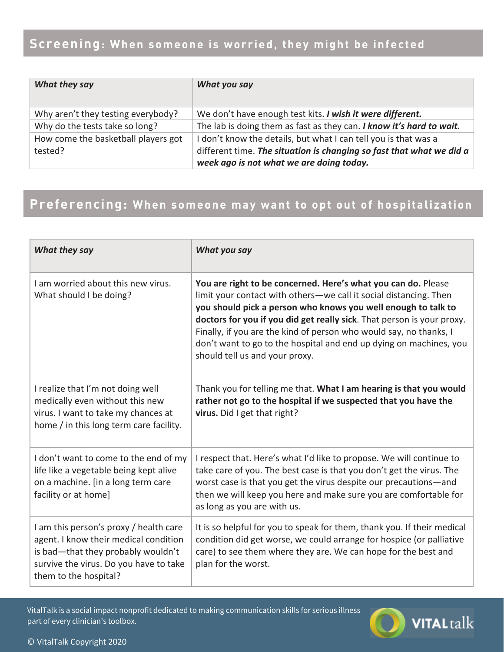## Screening: When someone is worried, they might be infected

| What they say                       | What you say                                                         |
|-------------------------------------|----------------------------------------------------------------------|
| Why aren't they testing everybody?  | We don't have enough test kits. I wish it were different.            |
| Why do the tests take so long?      | The lab is doing them as fast as they can. I know it's hard to wait. |
| How come the basketball players got | I don't know the details, but what I can tell you is that was a      |
| tested?                             | different time. The situation is changing so fast that what we did a |
|                                     | week ago is not what we are doing today.                             |

## Preferencing: When someone may want to opt out of hospitalization

| What they say                                                                                                                                                                            | What you say                                                                                                                                                                                                                                                                                                                                                                                                                                                |
|------------------------------------------------------------------------------------------------------------------------------------------------------------------------------------------|-------------------------------------------------------------------------------------------------------------------------------------------------------------------------------------------------------------------------------------------------------------------------------------------------------------------------------------------------------------------------------------------------------------------------------------------------------------|
| I am worried about this new virus.<br>What should I be doing?                                                                                                                            | You are right to be concerned. Here's what you can do. Please<br>limit your contact with others-we call it social distancing. Then<br>you should pick a person who knows you well enough to talk to<br>doctors for you if you did get really sick. That person is your proxy.<br>Finally, if you are the kind of person who would say, no thanks, I<br>don't want to go to the hospital and end up dying on machines, you<br>should tell us and your proxy. |
| I realize that I'm not doing well<br>medically even without this new<br>virus. I want to take my chances at<br>home / in this long term care facility.                                   | Thank you for telling me that. What I am hearing is that you would<br>rather not go to the hospital if we suspected that you have the<br>virus. Did I get that right?                                                                                                                                                                                                                                                                                       |
| I don't want to come to the end of my<br>life like a vegetable being kept alive<br>on a machine. [in a long term care<br>facility or at home]                                            | I respect that. Here's what I'd like to propose. We will continue to<br>take care of you. The best case is that you don't get the virus. The<br>worst case is that you get the virus despite our precautions-and<br>then we will keep you here and make sure you are comfortable for<br>as long as you are with us.                                                                                                                                         |
| I am this person's proxy / health care<br>agent. I know their medical condition<br>is bad-that they probably wouldn't<br>survive the virus. Do you have to take<br>them to the hospital? | It is so helpful for you to speak for them, thank you. If their medical<br>condition did get worse, we could arrange for hospice (or palliative<br>care) to see them where they are. We can hope for the best and<br>plan for the worst.                                                                                                                                                                                                                    |

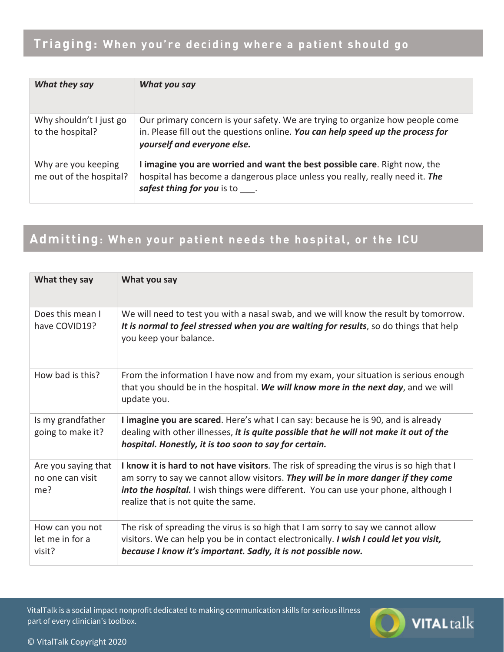| What they say                                  | What you say                                                                                                                                                                                    |
|------------------------------------------------|-------------------------------------------------------------------------------------------------------------------------------------------------------------------------------------------------|
| Why shouldn't I just go<br>to the hospital?    | Our primary concern is your safety. We are trying to organize how people come<br>in. Please fill out the questions online. You can help speed up the process for<br>yourself and everyone else. |
| Why are you keeping<br>me out of the hospital? | I imagine you are worried and want the best possible care. Right now, the<br>hospital has become a dangerous place unless you really, really need it. The<br>safest thing for you is to .       |

## Admitting: When your patient needs the hospital, or the ICU

| What they say                                  | What you say                                                                                                                                                                                                                                                                                                  |
|------------------------------------------------|---------------------------------------------------------------------------------------------------------------------------------------------------------------------------------------------------------------------------------------------------------------------------------------------------------------|
| Does this mean I<br>have COVID19?              | We will need to test you with a nasal swab, and we will know the result by tomorrow.<br>It is normal to feel stressed when you are waiting for results, so do things that help<br>you keep your balance.                                                                                                      |
| How bad is this?                               | From the information I have now and from my exam, your situation is serious enough<br>that you should be in the hospital. We will know more in the next day, and we will<br>update you.                                                                                                                       |
| Is my grandfather<br>going to make it?         | I imagine you are scared. Here's what I can say: because he is 90, and is already<br>dealing with other illnesses, it is quite possible that he will not make it out of the<br>hospital. Honestly, it is too soon to say for certain.                                                                         |
| Are you saying that<br>no one can visit<br>me? | I know it is hard to not have visitors. The risk of spreading the virus is so high that I<br>am sorry to say we cannot allow visitors. They will be in more danger if they come<br>into the hospital. I wish things were different. You can use your phone, although I<br>realize that is not quite the same. |
| How can you not<br>let me in for a<br>visit?   | The risk of spreading the virus is so high that I am sorry to say we cannot allow<br>visitors. We can help you be in contact electronically. I wish I could let you visit,<br>because I know it's important. Sadly, it is not possible now.                                                                   |

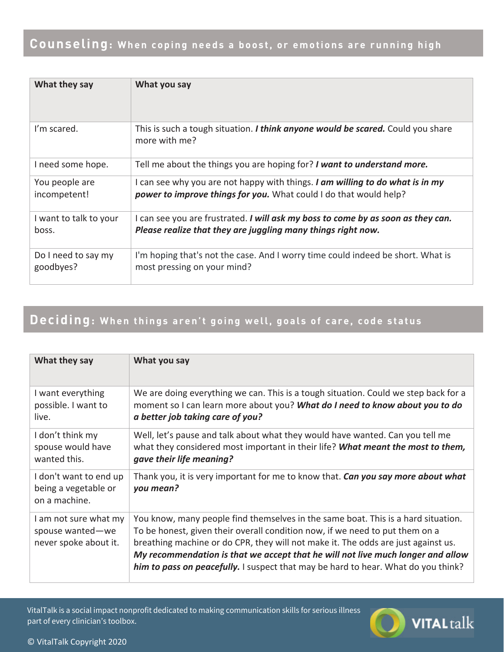| What they say          | What you say                                                                                     |
|------------------------|--------------------------------------------------------------------------------------------------|
| I'm scared.            | This is such a tough situation. I think anyone would be scared. Could you share<br>more with me? |
| I need some hope.      | Tell me about the things you are hoping for? I want to understand more.                          |
| You people are         | I can see why you are not happy with things. I am willing to do what is in my                    |
| incompetent!           | power to improve things for you. What could I do that would help?                                |
| I want to talk to your | I can see you are frustrated. I will ask my boss to come by as soon as they can.                 |
| boss.                  | Please realize that they are juggling many things right now.                                     |
| Do I need to say my    | I'm hoping that's not the case. And I worry time could indeed be short. What is                  |
| goodbyes?              | most pressing on your mind?                                                                      |

## **Deciding: When things aren't going well, goals of care, code status**

| What they say                                                      | What you say                                                                                                                                                                                                                                                                                                                                                                                                                   |
|--------------------------------------------------------------------|--------------------------------------------------------------------------------------------------------------------------------------------------------------------------------------------------------------------------------------------------------------------------------------------------------------------------------------------------------------------------------------------------------------------------------|
| I want everything<br>possible. I want to<br>live.                  | We are doing everything we can. This is a tough situation. Could we step back for a<br>moment so I can learn more about you? What do I need to know about you to do<br>a better job taking care of you?                                                                                                                                                                                                                        |
| I don't think my<br>spouse would have<br>wanted this.              | Well, let's pause and talk about what they would have wanted. Can you tell me<br>what they considered most important in their life? What meant the most to them,<br>gave their life meaning?                                                                                                                                                                                                                                   |
| I don't want to end up<br>being a vegetable or<br>on a machine.    | Thank you, it is very important for me to know that. Can you say more about what<br>you mean?                                                                                                                                                                                                                                                                                                                                  |
| I am not sure what my<br>spouse wanted-we<br>never spoke about it. | You know, many people find themselves in the same boat. This is a hard situation.<br>To be honest, given their overall condition now, if we need to put them on a<br>breathing machine or do CPR, they will not make it. The odds are just against us.<br>My recommendation is that we accept that he will not live much longer and allow<br>him to pass on peacefully. I suspect that may be hard to hear. What do you think? |

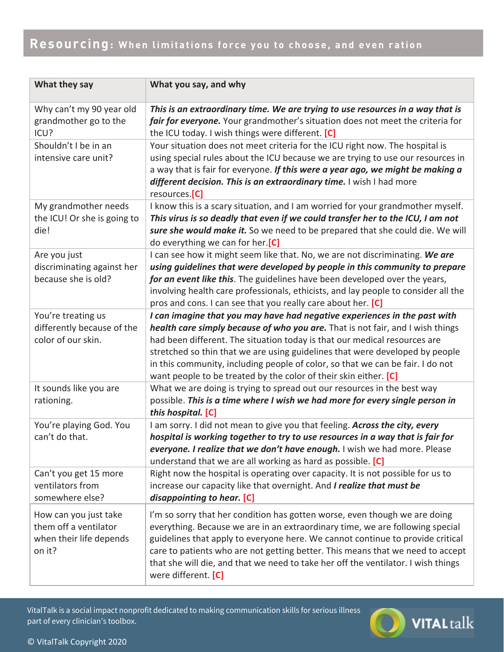| What they say                                                                       | What you say, and why                                                                                                                                                                                                                                                                                                                                                                                                                                                          |
|-------------------------------------------------------------------------------------|--------------------------------------------------------------------------------------------------------------------------------------------------------------------------------------------------------------------------------------------------------------------------------------------------------------------------------------------------------------------------------------------------------------------------------------------------------------------------------|
| Why can't my 90 year old<br>grandmother go to the<br>ICU?                           | This is an extraordinary time. We are trying to use resources in a way that is<br>fair for everyone. Your grandmother's situation does not meet the criteria for<br>the ICU today. I wish things were different. [C]                                                                                                                                                                                                                                                           |
| Shouldn't I be in an<br>intensive care unit?                                        | Your situation does not meet criteria for the ICU right now. The hospital is<br>using special rules about the ICU because we are trying to use our resources in<br>a way that is fair for everyone. If this were a year ago, we might be making a<br>different decision. This is an extraordinary time. I wish I had more<br>resources.[C]                                                                                                                                     |
| My grandmother needs<br>the ICU! Or she is going to<br>die!                         | I know this is a scary situation, and I am worried for your grandmother myself.<br>This virus is so deadly that even if we could transfer her to the ICU, I am not<br>sure she would make it. So we need to be prepared that she could die. We will<br>do everything we can for her.[C]                                                                                                                                                                                        |
| Are you just<br>discriminating against her<br>because she is old?                   | I can see how it might seem like that. No, we are not discriminating. We are<br>using guidelines that were developed by people in this community to prepare<br>for an event like this. The guidelines have been developed over the years,<br>involving health care professionals, ethicists, and lay people to consider all the<br>pros and cons. I can see that you really care about her. [C]                                                                                |
| You're treating us<br>differently because of the<br>color of our skin.              | I can imagine that you may have had negative experiences in the past with<br>health care simply because of who you are. That is not fair, and I wish things<br>had been different. The situation today is that our medical resources are<br>stretched so thin that we are using guidelines that were developed by people<br>in this community, including people of color, so that we can be fair. I do not<br>want people to be treated by the color of their skin either. [C] |
| It sounds like you are<br>rationing.                                                | What we are doing is trying to spread out our resources in the best way<br>possible. This is a time where I wish we had more for every single person in<br>this hospital. [C]                                                                                                                                                                                                                                                                                                  |
| You're playing God. You<br>can't do that.                                           | I am sorry. I did not mean to give you that feeling. Across the city, every<br>hospital is working together to try to use resources in a way that is fair for<br>everyone. I realize that we don't have enough. I wish we had more. Please<br>understand that we are all working as hard as possible. [C]                                                                                                                                                                      |
| Can't you get 15 more<br>ventilators from<br>somewhere else?                        | Right now the hospital is operating over capacity. It is not possible for us to<br>increase our capacity like that overnight. And I realize that must be<br>disappointing to hear. [C]                                                                                                                                                                                                                                                                                         |
| How can you just take<br>them off a ventilator<br>when their life depends<br>on it? | I'm so sorry that her condition has gotten worse, even though we are doing<br>everything. Because we are in an extraordinary time, we are following special<br>guidelines that apply to everyone here. We cannot continue to provide critical<br>care to patients who are not getting better. This means that we need to accept<br>that she will die, and that we need to take her off the ventilator. I wish things<br>were different. [C]                                    |

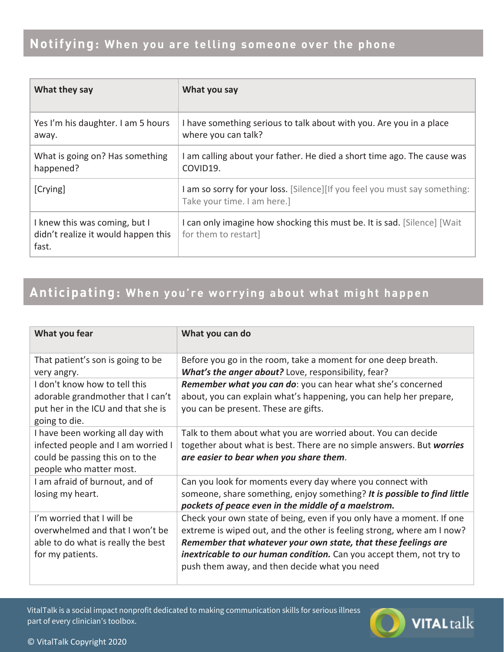| What they say                                                                 | What you say                                                                                              |
|-------------------------------------------------------------------------------|-----------------------------------------------------------------------------------------------------------|
| Yes I'm his daughter. I am 5 hours<br>away.                                   | I have something serious to talk about with you. Are you in a place<br>where you can talk?                |
| What is going on? Has something<br>happened?                                  | I am calling about your father. He died a short time ago. The cause was<br>COVID19.                       |
| [Crying]                                                                      | I am so sorry for your loss. [Silence][If you feel you must say something:<br>Take your time. I am here.] |
| I knew this was coming, but I<br>didn't realize it would happen this<br>fast. | I can only imagine how shocking this must be. It is sad. [Silence] [Wait]<br>for them to restart]         |

## Anticipating: When you're worrying about what might happen

| What you fear                                                                                                                        | What you can do                                                                                                                                                                                                                                                                                                                                   |
|--------------------------------------------------------------------------------------------------------------------------------------|---------------------------------------------------------------------------------------------------------------------------------------------------------------------------------------------------------------------------------------------------------------------------------------------------------------------------------------------------|
| That patient's son is going to be<br>very angry.                                                                                     | Before you go in the room, take a moment for one deep breath.<br>What's the anger about? Love, responsibility, fear?                                                                                                                                                                                                                              |
| I don't know how to tell this<br>adorable grandmother that I can't<br>put her in the ICU and that she is<br>going to die.            | Remember what you can do: you can hear what she's concerned<br>about, you can explain what's happening, you can help her prepare,<br>you can be present. These are gifts.                                                                                                                                                                         |
| I have been working all day with<br>infected people and I am worried I<br>could be passing this on to the<br>people who matter most. | Talk to them about what you are worried about. You can decide<br>together about what is best. There are no simple answers. But worries<br>are easier to bear when you share them.                                                                                                                                                                 |
| I am afraid of burnout, and of<br>losing my heart.                                                                                   | Can you look for moments every day where you connect with<br>someone, share something, enjoy something? It is possible to find little<br>pockets of peace even in the middle of a maelstrom.                                                                                                                                                      |
| I'm worried that I will be<br>overwhelmed and that I won't be<br>able to do what is really the best<br>for my patients.              | Check your own state of being, even if you only have a moment. If one<br>extreme is wiped out, and the other is feeling strong, where am I now?<br>Remember that whatever your own state, that these feelings are<br><i>inextricable to our human condition.</i> Can you accept them, not try to<br>push them away, and then decide what you need |

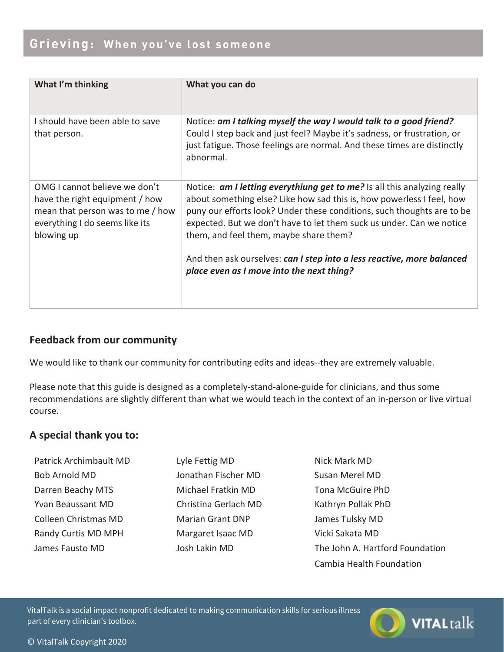## Grieving: When you've lost someone

| What I'm thinking                                                                                                                                   | What you can do                                                                                                                                                                                                                                                                                                                                                                                                         |
|-----------------------------------------------------------------------------------------------------------------------------------------------------|-------------------------------------------------------------------------------------------------------------------------------------------------------------------------------------------------------------------------------------------------------------------------------------------------------------------------------------------------------------------------------------------------------------------------|
| I should have been able to save<br>that person.                                                                                                     | Notice: am I talking myself the way I would talk to a good friend?<br>Could I step back and just feel? Maybe it's sadness, or frustration, or<br>just fatigue. Those feelings are normal. And these times are distinctly<br>abnormal.                                                                                                                                                                                   |
| OMG I cannot believe we don't<br>have the right equipment / how<br>mean that person was to me / how<br>everything I do seems like its<br>blowing up | Notice: am I letting everythiung get to me? Is all this analyzing really<br>about something else? Like how sad this is, how powerless I feel, how<br>puny our efforts look? Under these conditions, such thoughts are to be<br>expected. But we don't have to let them suck us under. Can we notice<br>them, and feel them, maybe share them?<br>And then ask ourselves: can I step into a less reactive, more balanced |
|                                                                                                                                                     | place even as I move into the next thing?                                                                                                                                                                                                                                                                                                                                                                               |

## **Feedback from our community**

We would like to thank our community for contributing edits and ideas--they are extremely valuable.

Please note that this guide is designed as a completely-stand-alone-guide for clinicians, and thus some recommendations are slightly different than what we would teach in the context of an in-person or live virtual course.

#### A special thank you to:

- Patrick Archimbault MD **Bob Arnold MD** Darren Beachy MTS Yvan Beaussant MD Colleen Christmas MD Randy Curtis MD MPH James Fausto MD
- Lyle Fettig MD Jonathan Fischer MD Michael Fratkin MD Christina Gerlach MD **Marian Grant DNP** Margaret Isaac MD Josh Lakin MD
- Nick Mark MD Susan Merel MD Tona McGuire PhD Kathryn Pollak PhD James Tulsky MD Vicki Sakata MD The John A. Hartford Foundation Cambia Health Foundation

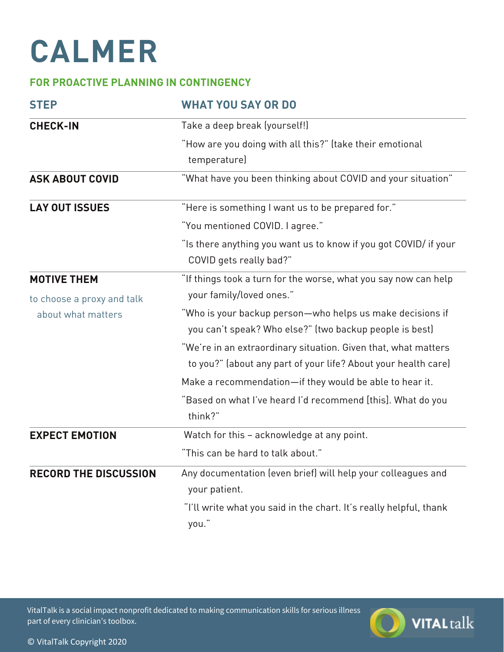# **CALMER**

## **FOR PROACTIVE PLANNING IN CONTINGENCY**

| <b>STEP</b>                  | <b>WHAT YOU SAY OR DO</b>                                                                                                        |
|------------------------------|----------------------------------------------------------------------------------------------------------------------------------|
| <b>CHECK-IN</b>              | Take a deep break (yourself!)                                                                                                    |
|                              | "How are you doing with all this?" (take their emotional<br>temperature)                                                         |
| <b>ASK ABOUT COVID</b>       | "What have you been thinking about COVID and your situation"                                                                     |
| <b>LAY OUT ISSUES</b>        | "Here is something I want us to be prepared for."                                                                                |
|                              | "You mentioned COVID. I agree."                                                                                                  |
|                              | "Is there anything you want us to know if you got COVID/ if your<br>COVID gets really bad?"                                      |
| <b>MOTIVE THEM</b>           | "If things took a turn for the worse, what you say now can help                                                                  |
| to choose a proxy and talk   | your family/loved ones."                                                                                                         |
| about what matters           | "Who is your backup person—who helps us make decisions if<br>you can't speak? Who else?" (two backup people is best)             |
|                              | "We're in an extraordinary situation. Given that, what matters<br>to you?" (about any part of your life? About your health care) |
|                              | Make a recommendation-if they would be able to hear it.                                                                          |
|                              | "Based on what I've heard I'd recommend [this]. What do you<br>think?"                                                           |
| <b>EXPECT EMOTION</b>        | Watch for this - acknowledge at any point.                                                                                       |
|                              | "This can be hard to talk about."                                                                                                |
| <b>RECORD THE DISCUSSION</b> | Any documentation (even brief) will help your colleagues and<br>your patient.                                                    |
|                              | "I'll write what you said in the chart. It's really helpful, thank<br>you."                                                      |